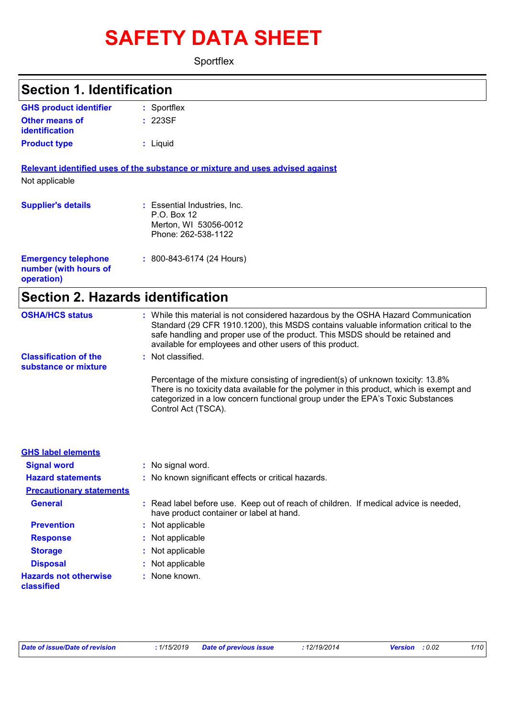# **SAFETY DATA SHEET**

**Sportflex** 

## Sportflex **: GHS product identifier Section 1. Identification**

| <b>Other means of</b><br>identification | : 223SF  |  |
|-----------------------------------------|----------|--|
| <b>Product type</b>                     | : Liquid |  |

**Relevant identified uses of the substance or mixture and uses advised against** Not applicable

| <b>Supplier's details</b>                                         | : Essential Industries, Inc.<br>$P.O.$ Box 12<br>Merton, WI 53056-0012<br>Phone: 262-538-1122 |  |
|-------------------------------------------------------------------|-----------------------------------------------------------------------------------------------|--|
| <b>Emergency telephone</b><br>number (with hours of<br>operation) | $: 800 - 843 - 6174 (24$ Hours)                                                               |  |

## **Section 2. Hazards identification**

| <b>OSHA/HCS status</b>                               | : While this material is not considered hazardous by the OSHA Hazard Communication<br>Standard (29 CFR 1910.1200), this MSDS contains valuable information critical to the<br>safe handling and proper use of the product. This MSDS should be retained and<br>available for employees and other users of this product. |
|------------------------------------------------------|-------------------------------------------------------------------------------------------------------------------------------------------------------------------------------------------------------------------------------------------------------------------------------------------------------------------------|
| <b>Classification of the</b><br>substance or mixture | $\therefore$ Not classified.                                                                                                                                                                                                                                                                                            |
|                                                      | Percentage of the mixture consisting of ingredient(s) of unknown toxicity: 13.8%<br>There is no toxicity data available for the polymer in this product, which is exempt and<br>categorized in a low concern functional group under the EPA's Toxic Substances<br>Control Act (TSCA).                                   |

| <b>GHS label elements</b>                  |                                                                                                                                  |
|--------------------------------------------|----------------------------------------------------------------------------------------------------------------------------------|
| <b>Signal word</b>                         | : No signal word.                                                                                                                |
| <b>Hazard statements</b>                   | : No known significant effects or critical hazards.                                                                              |
| <b>Precautionary statements</b>            |                                                                                                                                  |
| <b>General</b>                             | : Read label before use. Keep out of reach of children. If medical advice is needed,<br>have product container or label at hand. |
| <b>Prevention</b>                          | : Not applicable                                                                                                                 |
| <b>Response</b>                            | : Not applicable                                                                                                                 |
| <b>Storage</b>                             | : Not applicable                                                                                                                 |
| <b>Disposal</b>                            | : Not applicable                                                                                                                 |
| <b>Hazards not otherwise</b><br>classified | $:$ None known.                                                                                                                  |

| Date of issue/Date of revision | : 1/15/2019 Date of previous issue | :12/19/2014 | <b>Version</b> : 0.02 | 1/10 |
|--------------------------------|------------------------------------|-------------|-----------------------|------|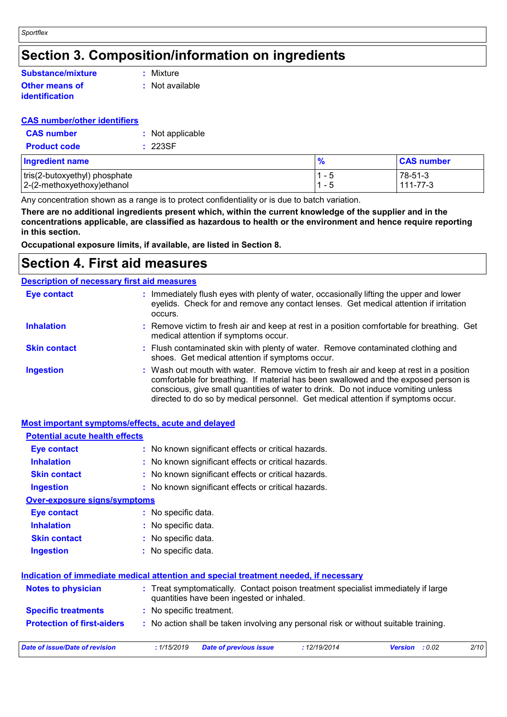## **Section 3. Composition/information on ingredients**

### **Other means of identification Substance/mixture**

**:** Mixture

**:** Not available

## **CAS number/other identifiers**

| <b>CAS</b> number   | : Not applicable |
|---------------------|------------------|
| <b>Product code</b> | : 223SF          |

| <b>Ingredient name</b>        | $\frac{9}{6}$ | <b>CAS number</b> |
|-------------------------------|---------------|-------------------|
| tris(2-butoxyethyl) phosphate | $\sim$        | 78-51-3           |
| 2-(2-methoxyethoxy) ethanol   | $ \sim$       | $111 - 77 - 3$    |

Any concentration shown as a range is to protect confidentiality or is due to batch variation.

**There are no additional ingredients present which, within the current knowledge of the supplier and in the concentrations applicable, are classified as hazardous to health or the environment and hence require reporting in this section.**

**Occupational exposure limits, if available, are listed in Section 8.**

## **Section 4. First aid measures**

### Wash out mouth with water. Remove victim to fresh air and keep at rest in a position comfortable for breathing. If material has been swallowed and the exposed person is conscious, give small quantities of water to drink. Do not induce vomiting unless directed to do so by medical personnel. Get medical attention if symptoms occur. **:** Immediately flush eyes with plenty of water, occasionally lifting the upper and lower eyelids. Check for and remove any contact lenses. Get medical attention if irritation occurs. Flush contaminated skin with plenty of water. Remove contaminated clothing and **:** shoes. Get medical attention if symptoms occur. Remove victim to fresh air and keep at rest in a position comfortable for breathing. Get **:** medical attention if symptoms occur. **Eye contact Skin contact Inhalation Ingestion : Description of necessary first aid measures**

## **Most important symptoms/effects, acute and delayed**

| <b>Potential acute health effects</b> |                                                                                                                                |
|---------------------------------------|--------------------------------------------------------------------------------------------------------------------------------|
| <b>Eye contact</b>                    | : No known significant effects or critical hazards.                                                                            |
| <b>Inhalation</b>                     | : No known significant effects or critical hazards.                                                                            |
| <b>Skin contact</b>                   | : No known significant effects or critical hazards.                                                                            |
| Ingestion                             | : No known significant effects or critical hazards.                                                                            |
| <b>Over-exposure signs/symptoms</b>   |                                                                                                                                |
| Eye contact                           | $:$ No specific data.                                                                                                          |
| <b>Inhalation</b>                     | : No specific data.                                                                                                            |
| <b>Skin contact</b>                   | : No specific data.                                                                                                            |
| <b>Ingestion</b>                      | : No specific data.                                                                                                            |
|                                       | Indication of immediate medical attention and special treatment needed, if necessary                                           |
| <b>Notes to physician</b>             | : Treat symptomatically. Contact poison treatment specialist immediately if large<br>quantities have been ingested or inhaled. |
| <b>Specific treatments</b>            | : No specific treatment.                                                                                                       |
| <b>Protection of first-aiders</b>     | : No action shall be taken involving any personal risk or without suitable training.                                           |
| Date of issue/Date of revision        | : 1/15/2019<br>2/10<br><b>Date of previous issue</b><br>: 12/19/2014<br>Version : 0.02                                         |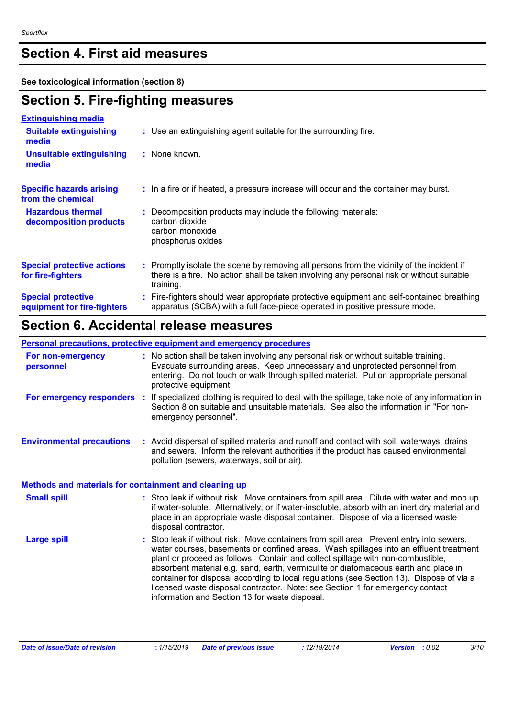## **Section 4. First aid measures**

**See toxicological information (section 8)**

## **Section 5. Fire-fighting measures**

| <b>Extinguishing media</b>                               |                                                                                                                                                                                                     |
|----------------------------------------------------------|-----------------------------------------------------------------------------------------------------------------------------------------------------------------------------------------------------|
| <b>Suitable extinguishing</b><br>media                   | : Use an extinguishing agent suitable for the surrounding fire.                                                                                                                                     |
| <b>Unsuitable extinguishing</b><br>media                 | : None known.                                                                                                                                                                                       |
| <b>Specific hazards arising</b><br>from the chemical     | : In a fire or if heated, a pressure increase will occur and the container may burst.                                                                                                               |
| <b>Hazardous thermal</b><br>decomposition products       | Decomposition products may include the following materials:<br>carbon dioxide<br>carbon monoxide<br>phosphorus oxides                                                                               |
| <b>Special protective actions</b><br>for fire-fighters   | : Promptly isolate the scene by removing all persons from the vicinity of the incident if<br>there is a fire. No action shall be taken involving any personal risk or without suitable<br>training. |
| <b>Special protective</b><br>equipment for fire-fighters | Fire-fighters should wear appropriate protective equipment and self-contained breathing<br>apparatus (SCBA) with a full face-piece operated in positive pressure mode.                              |

## **Section 6. Accidental release measures**

## **Personal precautions, protective equipment and emergency procedures**

| For non-emergency<br>personnel                               | : No action shall be taken involving any personal risk or without suitable training.<br>Evacuate surrounding areas. Keep unnecessary and unprotected personnel from<br>entering. Do not touch or walk through spilled material. Put on appropriate personal<br>protective equipment.                                                                                                                                                                                                                                                                                                       |
|--------------------------------------------------------------|--------------------------------------------------------------------------------------------------------------------------------------------------------------------------------------------------------------------------------------------------------------------------------------------------------------------------------------------------------------------------------------------------------------------------------------------------------------------------------------------------------------------------------------------------------------------------------------------|
| For emergency responders :                                   | If specialized clothing is required to deal with the spillage, take note of any information in<br>Section 8 on suitable and unsuitable materials. See also the information in "For non-<br>emergency personnel".                                                                                                                                                                                                                                                                                                                                                                           |
| <b>Environmental precautions</b>                             | : Avoid dispersal of spilled material and runoff and contact with soil, waterways, drains<br>and sewers. Inform the relevant authorities if the product has caused environmental<br>pollution (sewers, waterways, soil or air).                                                                                                                                                                                                                                                                                                                                                            |
| <b>Methods and materials for containment and cleaning up</b> |                                                                                                                                                                                                                                                                                                                                                                                                                                                                                                                                                                                            |
| <b>Small spill</b>                                           | : Stop leak if without risk. Move containers from spill area. Dilute with water and mop up<br>if water-soluble. Alternatively, or if water-insoluble, absorb with an inert dry material and<br>place in an appropriate waste disposal container. Dispose of via a licensed waste<br>disposal contractor.                                                                                                                                                                                                                                                                                   |
| <b>Large spill</b>                                           | : Stop leak if without risk. Move containers from spill area. Prevent entry into sewers,<br>water courses, basements or confined areas. Wash spillages into an effluent treatment<br>plant or proceed as follows. Contain and collect spillage with non-combustible,<br>absorbent material e.g. sand, earth, vermiculite or diatomaceous earth and place in<br>container for disposal according to local regulations (see Section 13). Dispose of via a<br>licensed waste disposal contractor. Note: see Section 1 for emergency contact<br>information and Section 13 for waste disposal. |
|                                                              |                                                                                                                                                                                                                                                                                                                                                                                                                                                                                                                                                                                            |

| Date of issue/Date of revision | : 1/15/2019 Date of previous issue | : 12/19/2014 | <b>Version</b> : 0.02 | 3/10 |
|--------------------------------|------------------------------------|--------------|-----------------------|------|
|--------------------------------|------------------------------------|--------------|-----------------------|------|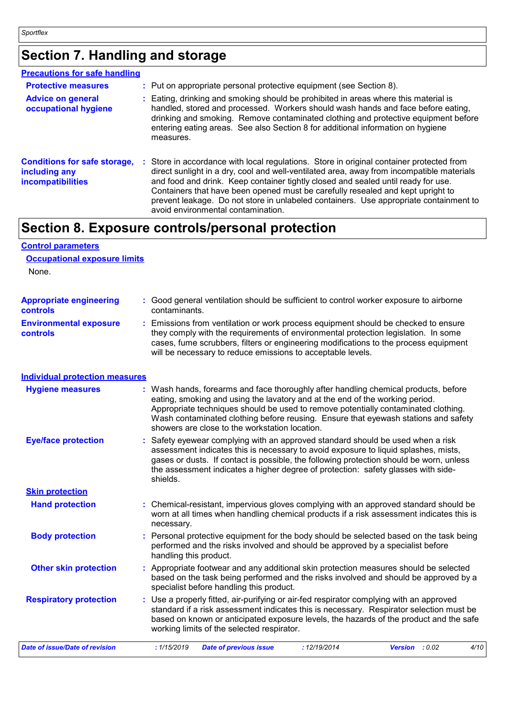## **Section 7. Handling and storage**

| <b>Precautions for safe handling</b>                                      |                                                                                                                                                                                                                                                                                                                                                                                                                                                                                              |
|---------------------------------------------------------------------------|----------------------------------------------------------------------------------------------------------------------------------------------------------------------------------------------------------------------------------------------------------------------------------------------------------------------------------------------------------------------------------------------------------------------------------------------------------------------------------------------|
| <b>Protective measures</b>                                                | : Put on appropriate personal protective equipment (see Section 8).                                                                                                                                                                                                                                                                                                                                                                                                                          |
| <b>Advice on general</b><br>occupational hygiene                          | : Eating, drinking and smoking should be prohibited in areas where this material is<br>handled, stored and processed. Workers should wash hands and face before eating,<br>drinking and smoking. Remove contaminated clothing and protective equipment before<br>entering eating areas. See also Section 8 for additional information on hygiene<br>measures.                                                                                                                                |
| <b>Conditions for safe storage,</b><br>including any<br>incompatibilities | : Store in accordance with local regulations. Store in original container protected from<br>direct sunlight in a dry, cool and well-ventilated area, away from incompatible materials<br>and food and drink. Keep container tightly closed and sealed until ready for use.<br>Containers that have been opened must be carefully resealed and kept upright to<br>prevent leakage. Do not store in unlabeled containers. Use appropriate containment to<br>avoid environmental contamination. |

## **Section 8. Exposure controls/personal protection**

| <b>Control parameters</b>                  |                                                                                                                                                                                                                                                                                                                                                                                                   |  |  |  |  |  |
|--------------------------------------------|---------------------------------------------------------------------------------------------------------------------------------------------------------------------------------------------------------------------------------------------------------------------------------------------------------------------------------------------------------------------------------------------------|--|--|--|--|--|
| <b>Occupational exposure limits</b>        |                                                                                                                                                                                                                                                                                                                                                                                                   |  |  |  |  |  |
| None.                                      |                                                                                                                                                                                                                                                                                                                                                                                                   |  |  |  |  |  |
|                                            |                                                                                                                                                                                                                                                                                                                                                                                                   |  |  |  |  |  |
| <b>Appropriate engineering</b><br>controls | : Good general ventilation should be sufficient to control worker exposure to airborne<br>contaminants.                                                                                                                                                                                                                                                                                           |  |  |  |  |  |
| <b>Environmental exposure</b><br>controls  | : Emissions from ventilation or work process equipment should be checked to ensure<br>they comply with the requirements of environmental protection legislation. In some<br>cases, fume scrubbers, filters or engineering modifications to the process equipment<br>will be necessary to reduce emissions to acceptable levels.                                                                   |  |  |  |  |  |
| <b>Individual protection measures</b>      |                                                                                                                                                                                                                                                                                                                                                                                                   |  |  |  |  |  |
| <b>Hygiene measures</b>                    | : Wash hands, forearms and face thoroughly after handling chemical products, before<br>eating, smoking and using the lavatory and at the end of the working period.<br>Appropriate techniques should be used to remove potentially contaminated clothing.<br>Wash contaminated clothing before reusing. Ensure that eyewash stations and safety<br>showers are close to the workstation location. |  |  |  |  |  |
| <b>Eye/face protection</b>                 | : Safety eyewear complying with an approved standard should be used when a risk<br>assessment indicates this is necessary to avoid exposure to liquid splashes, mists,<br>gases or dusts. If contact is possible, the following protection should be worn, unless<br>the assessment indicates a higher degree of protection: safety glasses with side-<br>shields.                                |  |  |  |  |  |
| <b>Skin protection</b>                     |                                                                                                                                                                                                                                                                                                                                                                                                   |  |  |  |  |  |
| <b>Hand protection</b>                     | : Chemical-resistant, impervious gloves complying with an approved standard should be<br>worn at all times when handling chemical products if a risk assessment indicates this is<br>necessary.                                                                                                                                                                                                   |  |  |  |  |  |
| <b>Body protection</b>                     | : Personal protective equipment for the body should be selected based on the task being<br>performed and the risks involved and should be approved by a specialist before<br>handling this product.                                                                                                                                                                                               |  |  |  |  |  |
| <b>Other skin protection</b>               | : Appropriate footwear and any additional skin protection measures should be selected<br>based on the task being performed and the risks involved and should be approved by a<br>specialist before handling this product.                                                                                                                                                                         |  |  |  |  |  |
| <b>Respiratory protection</b>              | Use a properly fitted, air-purifying or air-fed respirator complying with an approved<br>standard if a risk assessment indicates this is necessary. Respirator selection must be<br>based on known or anticipated exposure levels, the hazards of the product and the safe<br>working limits of the selected respirator.                                                                          |  |  |  |  |  |
| <b>Date of issue/Date of revision</b>      | : 1/15/2019<br>: 12/19/2014<br>4/10<br><b>Date of previous issue</b><br>Version : 0.02                                                                                                                                                                                                                                                                                                            |  |  |  |  |  |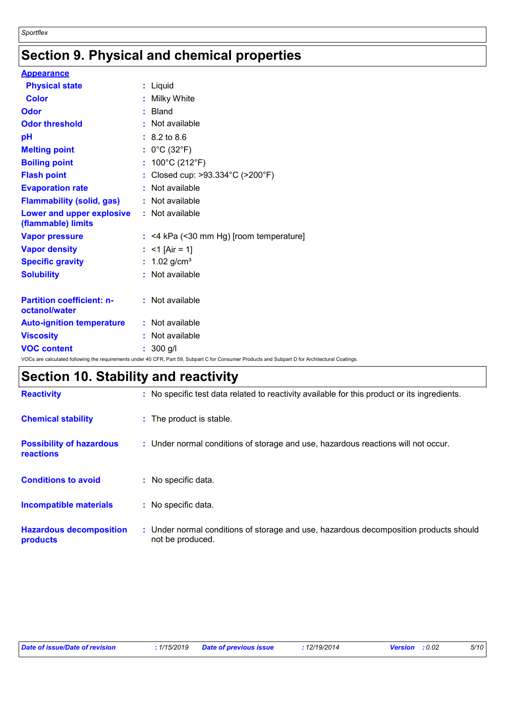## **Section 9. Physical and chemical properties**

| <b>Appearance</b>                                 |                                                                                                                                                 |
|---------------------------------------------------|-------------------------------------------------------------------------------------------------------------------------------------------------|
| <b>Physical state</b>                             | : Liquid                                                                                                                                        |
| <b>Color</b>                                      | : Milky White                                                                                                                                   |
| Odor                                              | : Bland                                                                                                                                         |
| <b>Odor threshold</b>                             | : Not available                                                                                                                                 |
| pH                                                | $: 8.2 \text{ to } 8.6$                                                                                                                         |
| <b>Melting point</b>                              | : $0^{\circ}$ C (32 $^{\circ}$ F)                                                                                                               |
| <b>Boiling point</b>                              | : $100^{\circ}$ C (212 $^{\circ}$ F)                                                                                                            |
| <b>Flash point</b>                                | : Closed cup: $>93.334^{\circ}$ C ( $>200^{\circ}$ F)                                                                                           |
| <b>Evaporation rate</b>                           | : Not available                                                                                                                                 |
| <b>Flammability (solid, gas)</b>                  | : Not available                                                                                                                                 |
| Lower and upper explosive<br>(flammable) limits   | : Not available                                                                                                                                 |
| <b>Vapor pressure</b>                             | $:$ <4 kPa (<30 mm Hg) [room temperature]                                                                                                       |
| <b>Vapor density</b>                              | : <1 [Air = 1]                                                                                                                                  |
| <b>Specific gravity</b>                           | : $1.02$ g/cm <sup>3</sup>                                                                                                                      |
| <b>Solubility</b>                                 | : Not available                                                                                                                                 |
| <b>Partition coefficient: n-</b><br>octanol/water | : Not available                                                                                                                                 |
| <b>Auto-ignition temperature</b>                  | : Not available                                                                                                                                 |
| <b>Viscosity</b>                                  | : Not available                                                                                                                                 |
| <b>VOC content</b>                                | $: 300$ g/l                                                                                                                                     |
|                                                   | VOCs are calculated following the requirements under 40 CFR, Part 59, Subpart C for Consumer Products and Subpart D for Architectural Coatings. |

## **Section 10. Stability and reactivity**

| <b>Reactivity</b>                            | : No specific test data related to reactivity available for this product or its ingredients.              |
|----------------------------------------------|-----------------------------------------------------------------------------------------------------------|
| <b>Chemical stability</b>                    | : The product is stable.                                                                                  |
| <b>Possibility of hazardous</b><br>reactions | : Under normal conditions of storage and use, hazardous reactions will not occur.                         |
| <b>Conditions to avoid</b>                   | : No specific data.                                                                                       |
| Incompatible materials                       | : No specific data.                                                                                       |
| <b>Hazardous decomposition</b><br>products   | : Under normal conditions of storage and use, hazardous decomposition products should<br>not be produced. |

| : 1/15/2019 Date of previous issue | Date of issue/Date of revision |  |  | : 12/19/2014 | <b>Version</b> : 0.02 | 5/10 |
|------------------------------------|--------------------------------|--|--|--------------|-----------------------|------|
|------------------------------------|--------------------------------|--|--|--------------|-----------------------|------|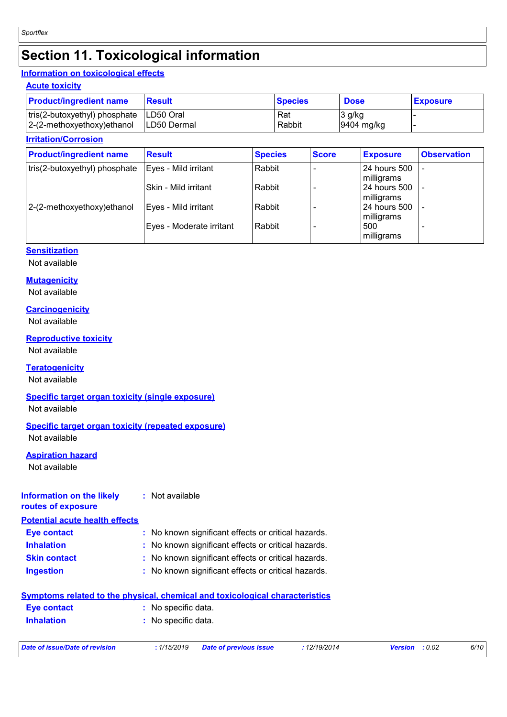## **Section 11. Toxicological information**

## **Information on toxicological effects**

### **Acute toxicity**

| <b>Product/ingredient name</b>            | <b>Result</b>      | <b>Species</b> | <b>Dose</b> | <b>Exposure</b> |
|-------------------------------------------|--------------------|----------------|-------------|-----------------|
| tris(2-butoxyethyl) phosphate   LD50 Oral |                    | Rat            | 3 g/kg      |                 |
| $ 2-(2-methoxyethoxy)$ ethanol            | <b>LD50 Dermal</b> | Rabbit         | 9404 mg/kg  |                 |

### **Irritation/Corrosion**

| <b>Product/ingredient name</b> | <b>Result</b>            | <b>Species</b> | <b>Score</b> | <b>Exposure</b>            | <b>Observation</b> |
|--------------------------------|--------------------------|----------------|--------------|----------------------------|--------------------|
| tris(2-butoxyethyl) phosphate  | Eyes - Mild irritant     | Rabbit         |              | 24 hours 500<br>milligrams | $\blacksquare$     |
|                                | l Skin - Mild irritant   | Rabbit         |              | 24 hours 500<br>milligrams |                    |
| 2-(2-methoxyethoxy)ethanol     | Eyes - Mild irritant     | Rabbit         |              | 24 hours 500<br>milligrams | ٠                  |
|                                | Eyes - Moderate irritant | Rabbit         |              | 500<br>milligrams          | -                  |

## **Sensitization**

Not available

### **Mutagenicity**

Not available

### **Carcinogenicity**

Not available

### **Reproductive toxicity**

Not available

### **Teratogenicity**

Not available

### **Specific target organ toxicity (single exposure)**

Not available

### **Specific target organ toxicity (repeated exposure)**

Not available

## **Aspiration hazard**

Not available

#### **Information on the likely routes of exposure :** Not available

**Potential acute health effects**

| <b>Eye contact</b>  | : No known significant effects or critical hazards. |
|---------------------|-----------------------------------------------------|
| <b>Inhalation</b>   | : No known significant effects or critical hazards. |
| <b>Skin contact</b> | : No known significant effects or critical hazards. |
| <b>Ingestion</b>    | : No known significant effects or critical hazards. |

## **Symptoms related to the physical, chemical and toxicological characteristics**

| <b>Eye contact</b> | : No specific data. |
|--------------------|---------------------|
| <b>Inhalation</b>  | : No specific data. |
|                    |                     |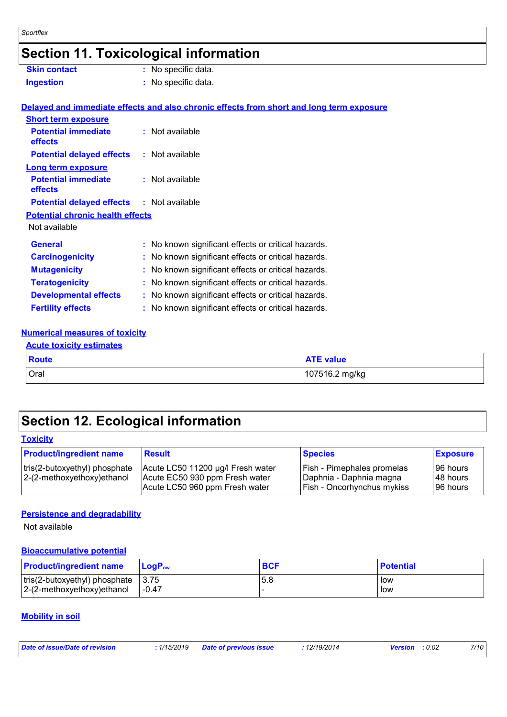## **Section 11. Toxicological information**

| <b>Skin contact</b>                     | : No specific data.                                                                      |
|-----------------------------------------|------------------------------------------------------------------------------------------|
| <b>Ingestion</b>                        | : No specific data.                                                                      |
|                                         |                                                                                          |
|                                         | Delayed and immediate effects and also chronic effects from short and long term exposure |
| <b>Short term exposure</b>              |                                                                                          |
| <b>Potential immediate</b><br>effects   | $:$ Not available                                                                        |
| <b>Potential delayed effects</b>        | : Not available                                                                          |
| <b>Long term exposure</b>               |                                                                                          |
| <b>Potential immediate</b><br>effects   | $:$ Not available                                                                        |
| <b>Potential delayed effects</b>        | : Not available                                                                          |
| <b>Potential chronic health effects</b> |                                                                                          |
| Not available                           |                                                                                          |
| <b>General</b>                          | : No known significant effects or critical hazards.                                      |
| <b>Carcinogenicity</b>                  | : No known significant effects or critical hazards.                                      |
| <b>Mutagenicity</b>                     | : No known significant effects or critical hazards.                                      |
| <b>Teratogenicity</b>                   | : No known significant effects or critical hazards.                                      |
| <b>Developmental effects</b>            | : No known significant effects or critical hazards.                                      |
| <b>Fertility effects</b>                | : No known significant effects or critical hazards.                                      |
|                                         |                                                                                          |

### **Numerical measures of toxicity Acute toxicity estimates**

| <b>ACUTE TOXICITY ESTIMATES</b> |                  |  |  |
|---------------------------------|------------------|--|--|
| <b>Route</b>                    | <b>ATE</b> value |  |  |
| Oral                            | 107516.2 mg/kg   |  |  |

## **Section 12. Ecological information**

**Toxicity**

| <b>Product/ingredient name</b>                               | <b>Result</b>                                                                                         | <b>Species</b>                                                                                    | <b>Exposure</b>                    |
|--------------------------------------------------------------|-------------------------------------------------------------------------------------------------------|---------------------------------------------------------------------------------------------------|------------------------------------|
| tris(2-butoxyethyl) phosphate<br>2-(2-methoxyethoxy) ethanol | Acute LC50 11200 µg/l Fresh water<br>Acute EC50 930 ppm Fresh water<br>Acute LC50 960 ppm Fresh water | <b>Fish - Pimephales promelas</b><br>Daphnia - Daphnia magna<br><b>Fish - Oncorhynchus mykiss</b> | 96 hours<br>148 hours<br>196 hours |

### **Persistence and degradability**

Not available

### **Bioaccumulative potential**

| <b>Product/ingredient name</b>                                               | ⊺LoɑP <sub>ow</sub> | <b>BCF</b> | <b>Potential</b> |
|------------------------------------------------------------------------------|---------------------|------------|------------------|
| $ $ tris(2-butoxyethyl) phosphate $ 3.75 $<br>$ 2-(2-methoxyethoxy)$ ethanol | -0.47               | 5.8        | low<br>low       |

## **Mobility in soil**

| Date of issue/Date of revision | : 1/15/2019 Date of previous issue | 12/19/2014 | <b>Version</b> : 0.02 | 7/10 |
|--------------------------------|------------------------------------|------------|-----------------------|------|
|                                |                                    |            |                       |      |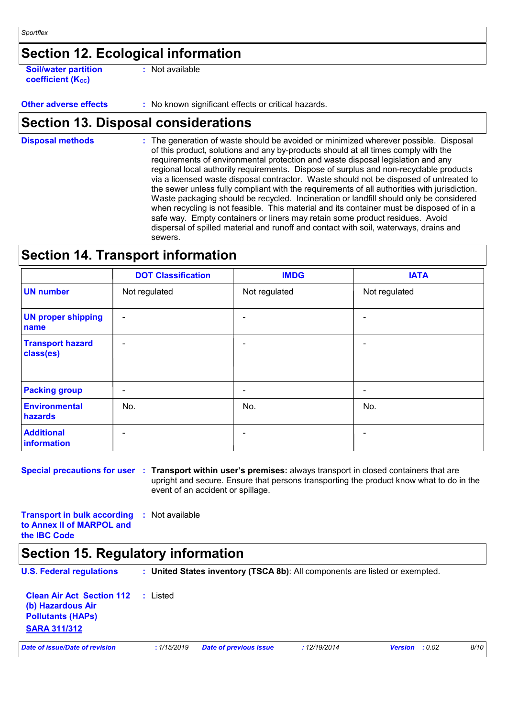## **Section 12. Ecological information**

**Soil/water partition coefficient (KOC)**

**:** Not available

**Other adverse effects :** No known significant effects or critical hazards.

## **Section 13. Disposal considerations**

The generation of waste should be avoided or minimized wherever possible. Disposal of this product, solutions and any by-products should at all times comply with the requirements of environmental protection and waste disposal legislation and any regional local authority requirements. Dispose of surplus and non-recyclable products via a licensed waste disposal contractor. Waste should not be disposed of untreated to the sewer unless fully compliant with the requirements of all authorities with jurisdiction. Waste packaging should be recycled. Incineration or landfill should only be considered when recycling is not feasible. This material and its container must be disposed of in a safe way. Empty containers or liners may retain some product residues. Avoid dispersal of spilled material and runoff and contact with soil, waterways, drains and sewers. **Disposal methods :**

## **Section 14. Transport information**

|                                      | <b>DOT Classification</b> | <b>IMDG</b>   | <b>IATA</b>              |
|--------------------------------------|---------------------------|---------------|--------------------------|
| <b>UN number</b>                     | Not regulated             | Not regulated | Not regulated            |
| <b>UN proper shipping</b><br>name    | $\blacksquare$            |               |                          |
| <b>Transport hazard</b><br>class(es) | $\overline{\phantom{a}}$  | -             |                          |
| <b>Packing group</b>                 | $\blacksquare$            | ۰             | $\overline{\phantom{0}}$ |
| <b>Environmental</b><br>hazards      | No.                       | No.           | No.                      |
| <b>Additional</b><br>information     | $\overline{\phantom{0}}$  | -             |                          |

**Special precautions for user Transport within user's premises:** always transport in closed containers that are **:** upright and secure. Ensure that persons transporting the product know what to do in the event of an accident or spillage.

**Transport in bulk according :** Not available **to Annex II of MARPOL and the IBC Code**

## **Section 15. Regulatory information**

**U.S. Federal regulations : Clean Air Act Section 112 (b) Hazardous Air Pollutants (HAPs) :** Listed **United States inventory (TSCA 8b)**: All components are listed or exempted.

**SARA 311/312**

*Date of issue/Date of revision* **:** *1/15/2019 Date of previous issue : 12/19/2014 Version : 0.02 8/10*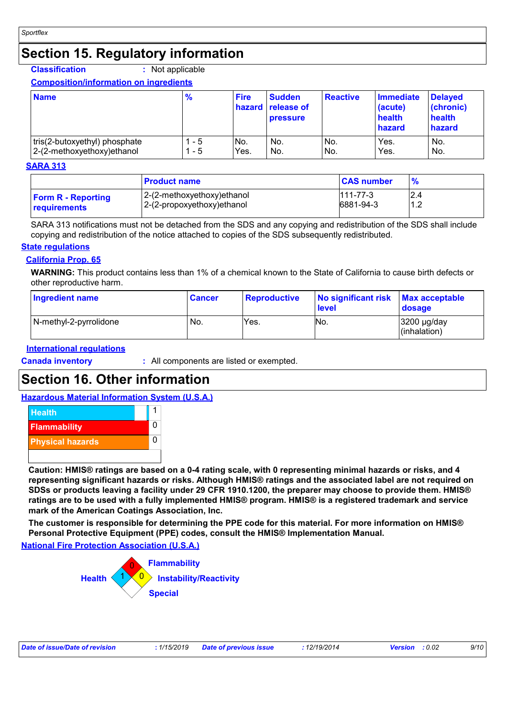## **Section 15. Regulatory information**

### **Classification :** Not applicable

### **Composition/information on ingredients**

| <b>Name</b>                   | $\frac{9}{6}$ | <b>Fire</b> | <b>Sudden</b><br>hazard release of<br><b>pressure</b> | <b>Reactive</b> | Immediate<br>(acute)<br>health<br>hazard | Delayed<br>(chronic)<br>health<br>hazard |
|-------------------------------|---------------|-------------|-------------------------------------------------------|-----------------|------------------------------------------|------------------------------------------|
| tris(2-butoxyethyl) phosphate | - 5           | No.         | No.                                                   | No.             | Yes.                                     | No.                                      |
| 2-(2-methoxyethoxy) ethanol   | - 5           | Yes.        | No.                                                   | No.             | Yes.                                     | No.                                      |

### **SARA 313**

|                                                  | <b>Product name</b>                                       | <b>CAS number</b>           |                    |
|--------------------------------------------------|-----------------------------------------------------------|-----------------------------|--------------------|
| <b>Form R - Reporting</b><br><b>requirements</b> | 2-(2-methoxyethoxy)ethanol<br>2-(2-propoxyethoxy) ethanol | $111 - 77 - 3$<br>6881-94-3 | 2.4<br>10<br>ے ، ا |

SARA 313 notifications must not be detached from the SDS and any copying and redistribution of the SDS shall include copying and redistribution of the notice attached to copies of the SDS subsequently redistributed.

### **State regulations**

## **California Prop. 65**

**WARNING:** This product contains less than 1% of a chemical known to the State of California to cause birth defects or other reproductive harm.

| Ingredient name        | <b>Cancer</b> | <b>Reproductive</b> | No significant risk Max acceptable<br><b>level</b> | <b>dosage</b>                        |
|------------------------|---------------|---------------------|----------------------------------------------------|--------------------------------------|
| N-methyl-2-pyrrolidone | No.           | Yes.                | No.                                                | $3200 \mu g/day$<br>$l$ (inhalation) |

### **International regulations**

**Canada inventory :** All components are listed or exempted.

## **Section 16. Other information**

## **Hazardous Material Information System (U.S.A.)**



**Caution: HMIS® ratings are based on a 0-4 rating scale, with 0 representing minimal hazards or risks, and 4 representing significant hazards or risks. Although HMIS® ratings and the associated label are not required on SDSs or products leaving a facility under 29 CFR 1910.1200, the preparer may choose to provide them. HMIS® ratings are to be used with a fully implemented HMIS® program. HMIS® is a registered trademark and service mark of the American Coatings Association, Inc.**

**The customer is responsible for determining the PPE code for this material. For more information on HMIS® Personal Protective Equipment (PPE) codes, consult the HMIS® Implementation Manual.**

**National Fire Protection Association (U.S.A.)**